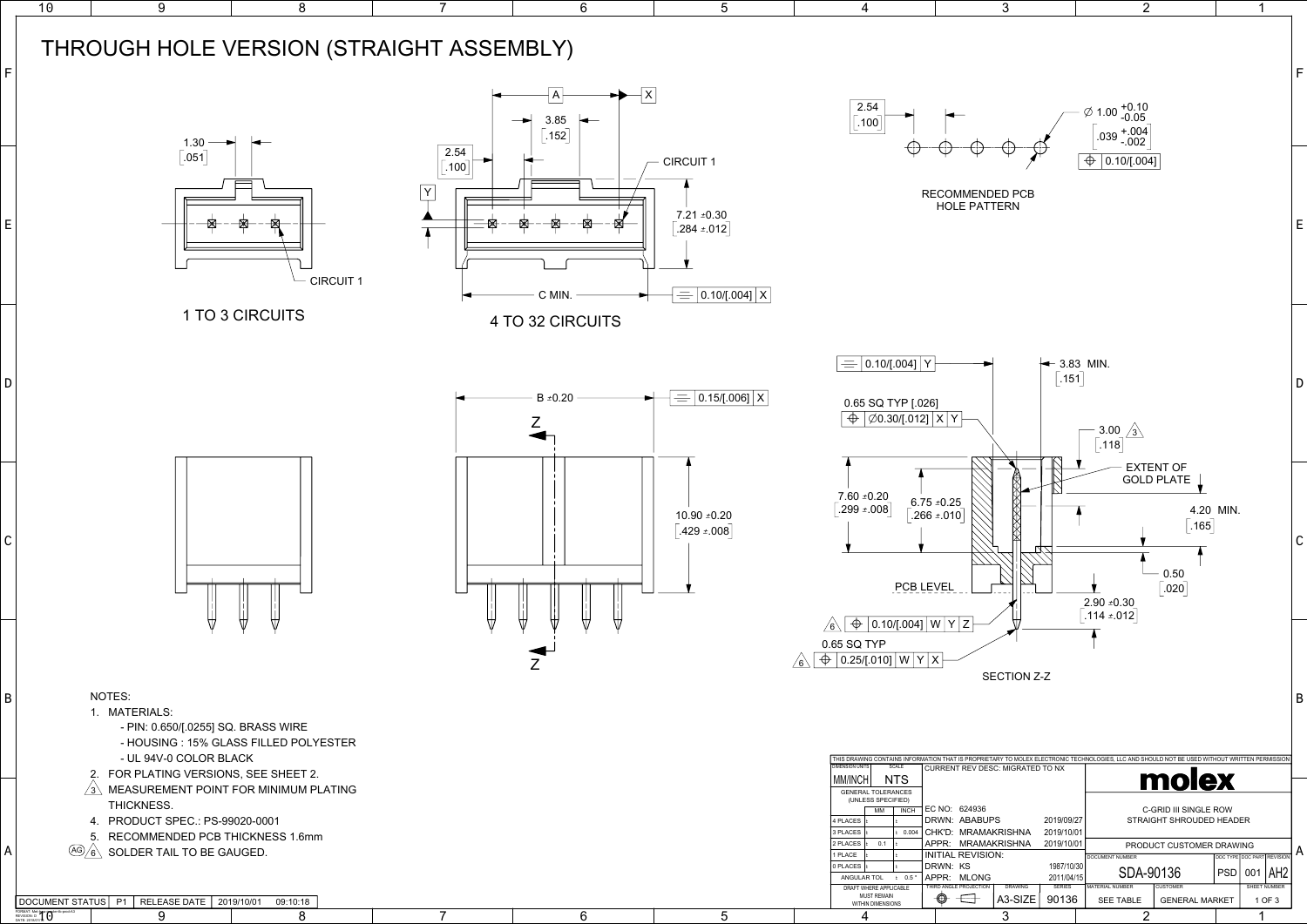|             | 10 | 9<br>8                                                                                                                                                                                                                                                                                                                    |                                  | 6                                                                           | 5                                                                             | 4                                                                                                                                                                                                                                                                                                 | 3                                                                                                                                                                                                                                                    |
|-------------|----|---------------------------------------------------------------------------------------------------------------------------------------------------------------------------------------------------------------------------------------------------------------------------------------------------------------------------|----------------------------------|-----------------------------------------------------------------------------|-------------------------------------------------------------------------------|---------------------------------------------------------------------------------------------------------------------------------------------------------------------------------------------------------------------------------------------------------------------------------------------------|------------------------------------------------------------------------------------------------------------------------------------------------------------------------------------------------------------------------------------------------------|
| F           |    | THROUGH HOLE VERSION (STRAIGHT ASSEMBLY)                                                                                                                                                                                                                                                                                  |                                  |                                                                             |                                                                               |                                                                                                                                                                                                                                                                                                   |                                                                                                                                                                                                                                                      |
| E           |    | $1.30 -$<br>$\left[ .051\right]$                                                                                                                                                                                                                                                                                          | 2.54<br>.100<br><b>CIRCUIT 1</b> | $\overline{+1}$<br>$\overline{A}$<br>3.85<br>$\lceil .152 \rceil$<br>C MIN. | <b>CIRCUIT 1</b><br>$7.21 \pm 0.30$<br>$284 \pm 012$<br>$= 0.10$ [.004] $ X $ | 2.54<br> .100                                                                                                                                                                                                                                                                                     | RECOMMENDED PCB<br>HOLE PATTERN                                                                                                                                                                                                                      |
| D           |    | 1 TO 3 CIRCUITS                                                                                                                                                                                                                                                                                                           |                                  | 4 TO 32 CIRCUITS<br>B $\pm$ 0.20                                            | $= 0.15$ /[.006] $ X $                                                        | $\vert$ 0.10/[.004] $\vert$ Y<br>$\equiv$<br>0.65 SQ TYP [.026]<br>$\phi$ $\phi$ 0.30/[.012] $x$ Y                                                                                                                                                                                                |                                                                                                                                                                                                                                                      |
| $\mathsf C$ |    |                                                                                                                                                                                                                                                                                                                           |                                  |                                                                             | 10.90 ±0.20<br>$.429 \pm .008$                                                | $\begin{bmatrix} 7.60 & 0.20 \\ -299 & 0.08 \end{bmatrix}$<br>PCB LEVEL                                                                                                                                                                                                                           | $6.75 \pm 0.25$<br>.266 $\pm$ .010                                                                                                                                                                                                                   |
| B           |    | NOTES:<br>1. MATERIALS:<br>- PIN: 0.650/[.0255] SQ. BRASS WIRE<br>- HOUSING: 15% GLASS FILLED POLYESTER<br>- UL 94V-0 COLOR BLACK                                                                                                                                                                                         |                                  |                                                                             |                                                                               | $\begin{array}{ c c c c }\hline \text{\Leftrightarrow} & \text{0.10}\text{/[.004]} & \text{W} & \text{Y} & \text{Z} \\\hline \end{array}$<br>0.65 SQ TYP<br>$\log  \Phi $ 0.25/[.010] $ W Y X$                                                                                                    | <b>SECTION</b><br>THIS DRAWING CONTAINS INFORMATION THAT IS PROPRIETARY TO MOLEX                                                                                                                                                                     |
| A           |    | 2. FOR PLATING VERSIONS, SEE SHEET 2.<br>MEASUREMENT POINT FOR MINIMUM PLATING<br>$/3\backslash$<br>THICKNESS.<br>4. PRODUCT SPEC.: PS-99020-0001<br>5. RECOMMENDED PCB THICKNESS 1.6mm<br>$\frac{\text{(AG)}_{6}}{\text{(G)}}$ SOLDER TAIL TO BE GAUGED.<br>DOCUMENT STATUS   P1   RELEASE DATE   2019/10/01<br>09:10:18 |                                  |                                                                             |                                                                               | SCALE<br><b>DIMENSION UNITS</b><br>MM/INCH<br><b>NTS</b><br><b>GENERAL TOLERANCES</b><br>(UNLESS SPECIFIED)<br>MM<br><b>INCH</b><br>4 PLACES<br>3 PLACES<br>2 PLACES<br>0.1<br>1 PLACE<br>PLACES<br>ANGULAR TOL<br>$\pm$ 0.5<br>DRAFT WHERE APPLICABLE<br><b>MUST REMAIN</b><br>WITHIN DIMENSIONS | <b>CURRENT REV DESC: MIGRATE</b><br>EC NO: 624936<br>DRWN: ABABUPS<br>0.004 CHK'D: MRAMAKRISHNA<br>APPR: MRAMAKRISHNA<br><b>INITIAL REVISION:</b><br>DRWN: KS<br>APPR: MLONG<br><b>DRAWING</b><br>THIRD ANGLE PROJECTION<br>$\oplus$<br>A3-SIZE<br>⊕ |

| <b>I DUGUMENT STATUST F</b>                                    | I RELEASE DATE TZU 19/10/01 | <b>09.10.10</b> |  | THIN DIMENSIONS. |  |
|----------------------------------------------------------------|-----------------------------|-----------------|--|------------------|--|
| FORMAT: Met-lona-geter-tb-r<br>REVISION: D<br>DATE: 2018/01/18 |                             |                 |  |                  |  |

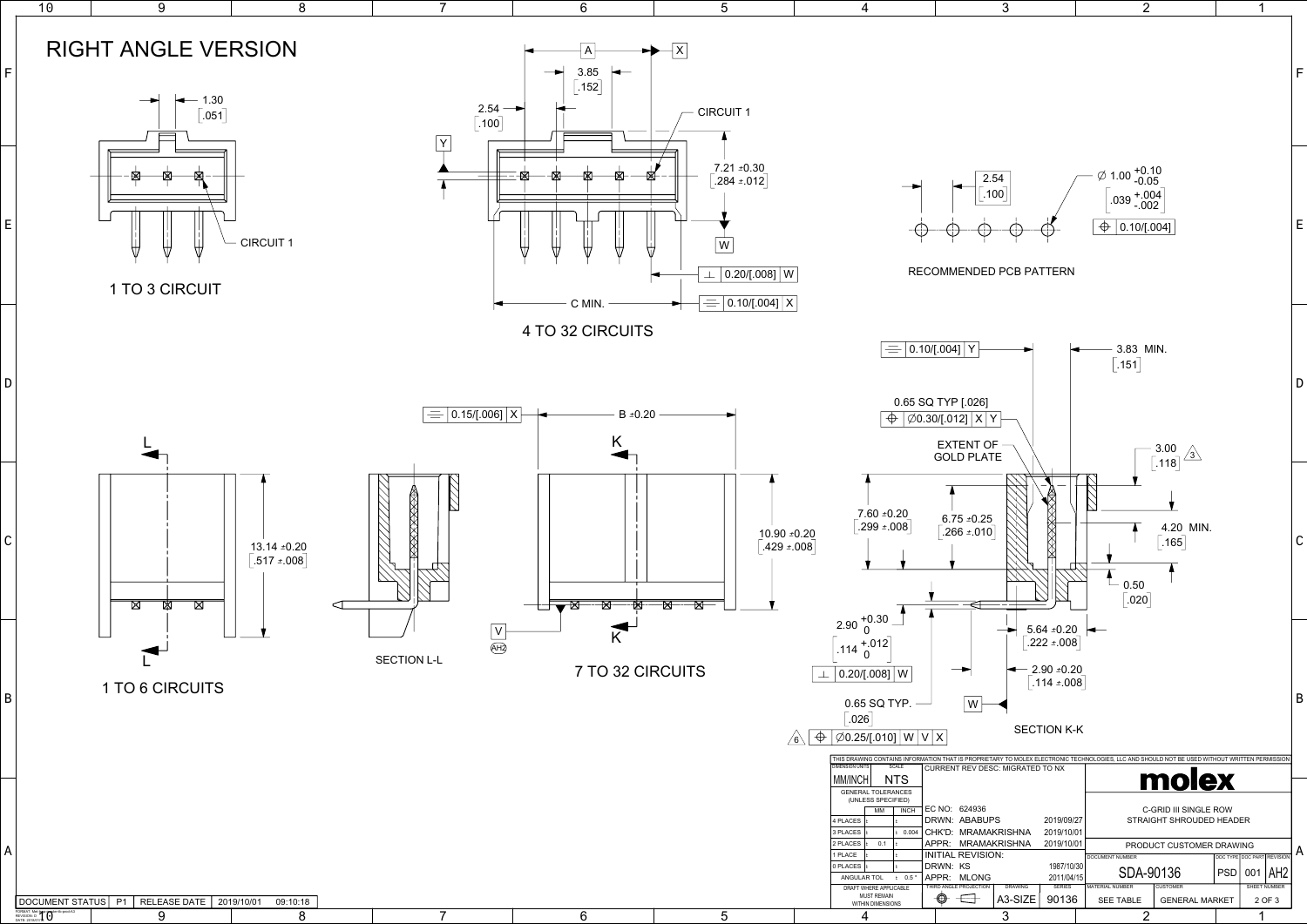